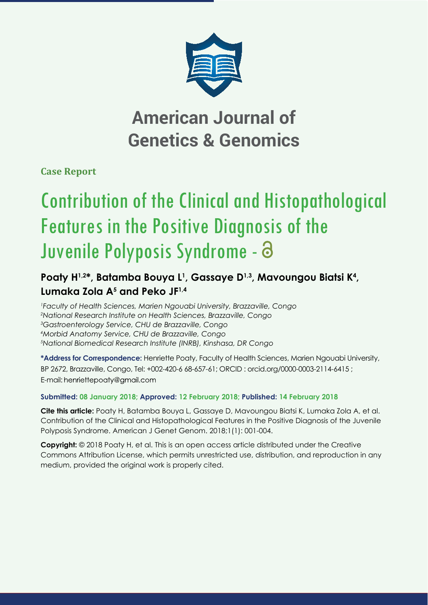

## **American Journal of Genetics & Genomics**

**Case Report**

# Contribution of the Clinical and Histopathological Features in the Positive Diagnosis of the Juvenile Polyposis Syndrome -

### Poaty H<sup>1,2\*</sup>, Batamba Bouya L<sup>1</sup>, Gassaye D<sup>1,3</sup>, Mavoungou Biatsi K<sup>4</sup>, **Lumaka Zola A5 and Peko JF1,4**

 *Faculty of Health Sciences, Marien Ngouabi University, Brazzaville, Congo National Research Institute on Health Sciences, Brazzaville, Congo Gastroenterology Service, CHU de Brazzaville, Congo Morbid Anatomy Service, CHU de Brazzaville, Congo National Biomedical Research Institute (INRB), Kinshasa, DR Congo*

**\*Address for Correspondence:** Henriette Poaty, Faculty of Health Sciences, Marien Ngouabi University, BP 2672, Brazzaville, Congo, Tel: +002-420-6 68-657-61; ORCID : orcid.org/0000-0003-2114-6415 ; E-mail: henriettepoaty@gmail.com

#### **Submitted: 08 January 2018; Approved: 12 February 2018; Published: 14 February 2018**

**Cite this article:** Poaty H, Batamba Bouya L, Gassaye D, Mavoungou Biatsi K, Lumaka Zola A, et al. Contribution of the Clinical and Histopathological Features in the Positive Diagnosis of the Juvenile Polyposis Syndrome. American J Genet Genom. 2018;1(1): 001-004.

**Copyright:** © 2018 Poaty H, et al. This is an open access article distributed under the Creative Commons Attribution License, which permits unrestricted use, distribution, and reproduction in any medium, provided the original work is properly cited.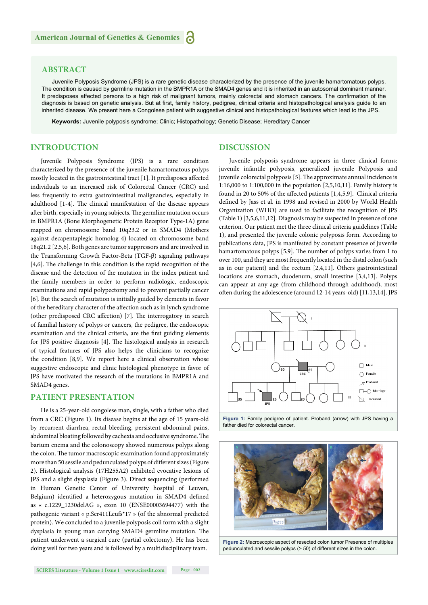#### **ABSTRACT**

Juvenile Polyposis Syndrome (JPS) is a rare genetic disease characterized by the presence of the juvenile hamartomatous polyps. The condition is caused by germline mutation in the BMPR1A or the SMAD4 genes and it is inherited in an autosomal dominant manner. It predisposes affected persons to a high risk of malignant tumors, mainly colorectal and stomach cancers. The confirmation of the diagnosis is based on genetic analysis. But at first, family history, pedigree, clinical criteria and histopathological analysis guide to an inherited disease. We present here a Congolese patient with suggestive clinical and histopathological features which lead to the JPS.

**Keywords:** Juvenile polyposis syndrome; Clinic; Histopathology; Genetic Disease; Hereditary Cancer

#### **INTRODUCTION**

Juvenile Polyposis Syndrome (JPS) is a rare condition characterized by the presence of the juvenile hamartomatous polyps mostly located in the gastrointestinal tract  $[1]$ . It predisposes affected individuals to an increased risk of Colorectal Cancer (CRC) and less frequently to extra gastrointestinal malignancies, especially in adulthood [1-4]. The clinical manifestation of the disease appears after birth, especially in young subjects. The germline mutation occurs in BMPR1A (Bone Morphogenetic Protein Receptor Type-1A) gene mapped on chromosome band 10q23.2 or in SMAD4 (Mothers against decapentaplegic homolog 4) located on chromosome band 18q21.2 [2,5,6]. Both genes are tumor suppressors and are involved in the Transforming Growth Factor-Beta (TGF-β) signaling pathways  $[4,6]$ . The challenge in this condition is the rapid recognition of the disease and the detection of the mutation in the index patient and the family members in order to perform radiologic, endoscopic examinations and rapid polypectomy and to prevent partially cancer [6]. But the search of mutation is initially guided by elements in favor of the hereditary character of the affection such as in lynch syndrome (other predisposed CRC affection) [7]. The interrogatory in search of familial history of polyps or cancers, the pedigree, the endoscopic examination and the clinical criteria, are the first guiding elements for JPS positive diagnosis [4]. The histological analysis in research of typical features of JPS also helps the clinicians to recognize the condition [8,9]. We report here a clinical observation whose suggestive endoscopic and clinic histological phenotype in favor of JPS have motivated the research of the mutations in BMPR1A and SMAD4 genes.

#### **PATIENT PRESENTATION**

He is a 25-year-old congolese man, single, with a father who died from a CRC (Figure 1). Its disease begins at the age of 15 years-old by recurrent diarrhea, rectal bleeding, persistent abdominal pains, abdominal bloating followed by cachexia and occlusive syndrome. The barium enema and the colonoscopy showed numerous polyps along the colon. The tumor macroscopic examination found approximately more than 50 sessile and pedunculated polyps of different sizes (Figure 2). Histological analysis (17H255A2) exhibited evocative lesions of JPS and a slight dysplasia (Figure 3). Direct sequencing (performed in Human Genetic Center of University hospital of Leuven, Belgium) identified a heterozygous mutation in SMAD4 defined as « c.1229\_1230delAG », exon 10 (ENSE00003694477) with the pathogenic variant « p.Ser411Leufs\*17 » (of the abnormal predicted protein). We concluded to a juvenile polyposis coli form with a slight dysplasia in young man carrying SMAD4 germline mutation. The patient underwent a surgical cure (partial colectomy). He has been doing well for two years and is followed by a multidisciplinary team.

#### **DISCUSSION**

Juvenile polyposis syndrome appears in three clinical forms: juvenile infantile polyposis, generalized juvenile Polyposis and juvenile colorectal polyposis [5]. The approximate annual incidence is 1:16,000 to 1:100,000 in the population [2,5,10,11]. Family history is found in 20 to 50% of the affected patients [1,4,5,9]. Clinical criteria defined by Jass et al. in 1998 and revised in 2000 by World Health Organization (WHO) are used to facilitate the recognition of JPS (Table 1) [3,5,6,11,12]. Diagnosis may be suspected in presence of one criterion. Our patient met the three clinical criteria guidelines (Table 1), and presented the juvenile colonic polyposis form. According to publications data, JPS is manifested by constant presence of juvenile hamartomatous polyps [5,9]. The number of polyps varies from 1 to over 100, and they are most frequently located in the distal colon (such as in our patient) and the rectum [2,4,11]. Others gastrointestinal locations are stomach, duodenum, small intestine [3,4,13]. Polyps can appear at any age (from childhood through adulthood), most often during the adolescence (around 12-14 years-old) [11,13,14]. JPS



**Figure 1:** Family pedigree of patient. Proband (arrow) with JPS having a father died for colorectal cancer.



**Figure 2:** Macroscopic aspect of resected colon tumor Presence of multiples pedunculated and sessile polyps (> 50) of different sizes in the colon.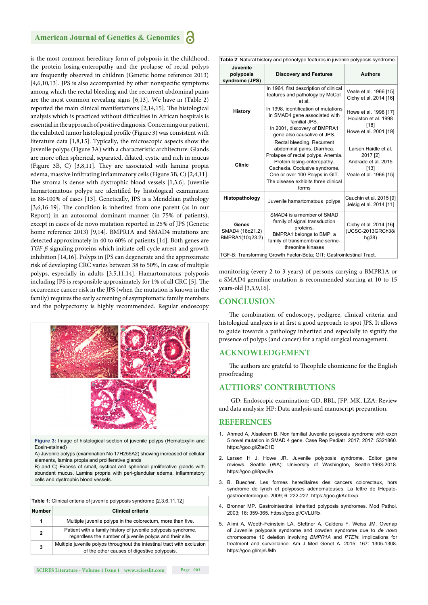#### **American Journal of Genetics & Genomics**

is the most common hereditary form of polyposis in the childhood, the protein losing-enteropathy and the prolapse of rectal polyps are frequently observed in children (Genetic home reference 2013) [4,6,10,13]. JPS is also accompanied by other nonspecific symptoms among which the rectal bleeding and the recurrent abdominal pains are the most common revealing signs [6,13]. We have in (Table 2) reported the main clinical manifestations  $[2,14,15]$ . The histological analysis which is practiced without difficulties in African hospitals is essential in the approach of positive diagnosis. Concerning our patient, the exhibited tumor histological profile (Figure 3) was consistent with literature data [1,8,15]. Typically, the microscopic aspects show the juvenile polyps (Figure 3A) with a characteristic architecture: Glands are more often spherical, separated, dilated, cystic and rich in mucus (Figure 3B, C) [3,8,11]. They are associated with lamina propia edema, massive infiltrating inflammatory cells (Figure 3B, C) [2,4,11]. The stroma is dense with dystrophic blood vessels  $[1,3,6]$ . Juvenile hamartomatous polyps are identified by histological examination in 88-100% of cases [13]. Genetically, JPS is a Mendelian pathology  $[3,6,16-19]$ . The condition is inherited from one parent (as in our Report) in an autosomal dominant manner (in 75% of patients), except in cases of de novo mutation reported in 25% of JPS (Genetic home reference 2013) [9,14]. BMPR1A and SMAD4 mutations are detected approximately in 40 to 60% of patients [14]. Both genes are *TGF-β* signaling proteins which initiate cell cycle arrest and growth inhibition [14,16]. Polyps in JPS can degenerate and the approximate risk of developing CRC varies between 38 to 50%, In case of multiple polyps, especially in adults [3,5,11,14]. Hamartomatous polyposis including JPS is responsible approximately for 1% of all CRC [5]. The occurrence cancer risk in the JPS (when the mutation is known in the family) requires the early screening of asymptomatic family members and the polypectomy is highly recommended. Regular endoscopy



**Figure 3:** Image of histological section of juvenile polyps (Hematoxylin and Eosin-stained)

A) Juvenile polyps (examination No 17H255A2) showing increased of cellular elements, lamina propia and proliferative glands

B) and C) Excess of small, cystical and spherical proliferative glands with abundant mucus. Lamina propria with peri-glandular edema, inflammatory cells and dystrophic blood vessels.

| Table 1: Clinical criteria of juvenile polyposis syndrome [2,3,6,11,12] |                                                                                                                           |  |  |
|-------------------------------------------------------------------------|---------------------------------------------------------------------------------------------------------------------------|--|--|
| <b>Number</b>                                                           | <b>Clinical criteria</b>                                                                                                  |  |  |
| 1                                                                       | Multiple juvenile polyps in the colorectum, more than five.                                                               |  |  |
| 2                                                                       | Patient with a family history of juvenile polyposis syndrome,<br>regardless the number of juvenile polyps and their site. |  |  |
| 3                                                                       | Multiple juvenile polyps throughout the intestinal tract with exclusion<br>of the other causes of digestive polyposis.    |  |  |

|                                             | Table 2: Natural history and phenotype features in juvenile polyposis syndrome.                                                                                                                                                                  |                                                                                           |
|---------------------------------------------|--------------------------------------------------------------------------------------------------------------------------------------------------------------------------------------------------------------------------------------------------|-------------------------------------------------------------------------------------------|
| Juvenile<br>polyposis<br>syndrome (JPS)     | <b>Discovery and Features</b>                                                                                                                                                                                                                    | <b>Authors</b>                                                                            |
|                                             | In 1964, first description of clinical<br>features and pathology by McColl<br>et al.                                                                                                                                                             | Veale et al. 1966 [15]<br>Cichy et al. 2014 [16]                                          |
| <b>History</b>                              | In 1998, identification of mutations<br>in SMAD4 gene associated with<br>familial JPS.<br>In 2001, discovery of BMPRA1<br>gene also causative of JPS.                                                                                            | Howe et al. 1998 [17]<br>Houlston et al. 1998<br>[18]<br>Howe et al. 2001 [19]            |
| Clinic                                      | Rectal bleeding. Recurrent<br>abdominal pains. Diarrhea.<br>Prolapse of rectal polyps. Anemia.<br>Protein losing-enteropathy.<br>Cachexia. Occlusive syndrome.<br>One or over 100 Polyps in GIT.<br>The disease exhibits three clinical<br>forms | Larsen Haidle et al.<br>2017 [2]<br>Andrade et al. 2015<br>[13]<br>Veale et al. 1966 [15] |
| Histopathology                              | Juvenile hamartomatous polyps                                                                                                                                                                                                                    | Cauchin et al. 2015 [9]<br>Jelsig et al. 2014 [11]                                        |
| Genes<br>SMAD4 (18q21.2)<br>BMPRA1(10g23.2) | SMAD4 is a member of SMAD<br>family of signal transduction<br>proteins.<br>BMPRA1 belongs to BMP, a<br>family of transmembrane serine-<br>threonine kinases                                                                                      | Cichy et al. 2014 [16]<br>(UCSC-2013GRCh38/<br>hg38)                                      |

monitoring (every 2 to 3 years) of persons carrying a BMPR1A or a SMAD4 germline mutation is recommended starting at 10 to 15 years-old [3,5,9,16].

#### **CONCLUSION**

The combination of endoscopy, pedigree, clinical criteria and histological analyzes is at first a good approach to spot JPS. It allows to guide towards a pathology inherited and especially to signify the presence of polyps (and cancer) for a rapid surgical management.

#### **ACKNOWLEDGEMENT**

The authors are grateful to Theophile chomienne for the English proofreading

#### **AUTHORS' CONTRIBUTIONS**

 GD: Endoscopic examination; GD, BBL, JFP, MK, LZA: Review and data analysis; HP: Data analysis and manuscript preparation.

#### **REFERENCES**

- 1. Ahmed A, Alsaleem B. Non familial Juvenile polyposis syndrome with exon 5 novel mutation in SMAD 4 gene. Case Rep Pediatr. 2017; 2017: 5321860. https://goo.gl/ZteC1D
- 2. Larsen H J, Howe JR. Juvenile polyposis syndrome. Editor gene reviews. Seattle (WA): University of Washington, Seattle.1993-2018. https://goo.gl/8pwj8e
- 3. B. Buecher. Les formes hereditaires des cancers colorectaux, hors syndrome de lynch et polyposes adenomateuses. La lettre de lHepatogastroenterologue. 2009; 6: 222-227. https://goo.gl/Kebxvp
- 4. Bronner MP. Gastrointestinal inherited polyposis syndromes. Mod Pathol. 2003; 16: 359-365. https://goo.gl/CVLURx
- 5. Alimi A, Weeth-Feinstein LA, Stettner A, Caldera F, Weiss JM. Overlap of Juvenile polyposis syndrome and cowden syndrome due to *de novo* chromosome 10 deletion involving *BMPR1A* and *PTEN*: implications for treatment and surveillance. Am J Med Genet A. 2015; 167: 1305-1308. https://goo.gl/mjeUMh